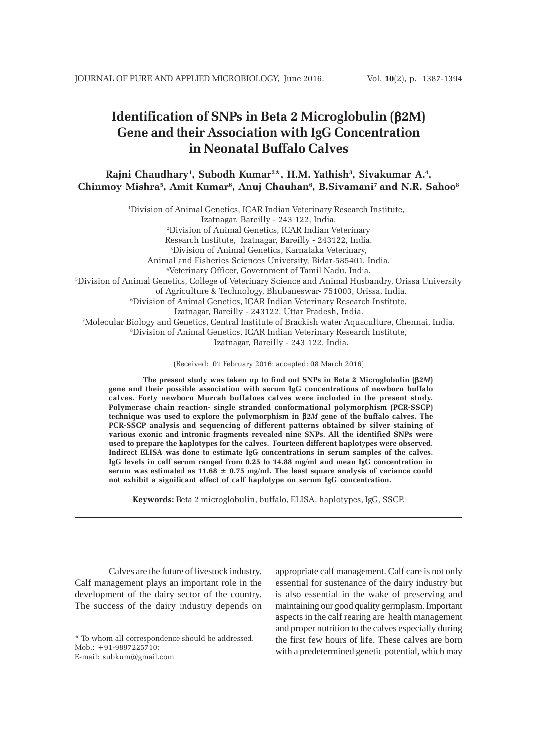# **Identification of SNPs in Beta 2 Microglobulin (**β**2M) Gene and their Association with IgG Concentration in Neonatal Buffalo Calves**

**Rajni Chaudhary1 , Subodh Kumar2 \*, H.M. Yathish3 , Sivakumar A.4 , Chinmoy Mishra5 , Amit Kumar6 , Anuj Chauhan6 , B.Sivamani7 and N.R. Sahoo8**

1 Division of Animal Genetics, ICAR Indian Veterinary Research Institute, Izatnagar, Bareilly - 243 122, India. 2 Division of Animal Genetics, ICAR Indian Veterinary Research Institute, Izatnagar, Bareilly - 243122, India. 3 Division of Animal Genetics, Karnataka Veterinary, Animal and Fisheries Sciences University, Bidar-585401, India. 4 Veterinary Officer, Government of Tamil Nadu, India. 5 Division of Animal Genetics, College of Veterinary Science and Animal Husbandry, Orissa University of Agriculture & Technology, Bhubaneswar- 751003, Orissa, India. 6 Division of Animal Genetics, ICAR Indian Veterinary Research Institute, Izatnagar, Bareilly - 243122, Uttar Pradesh, India. 7 Molecular Biology and Genetics, Central Institute of Brackish water Aquaculture, Chennai, India. 8 Division of Animal Genetics, ICAR Indian Veterinary Research Institute, Izatnagar, Bareilly - 243 122, India.

(Received: 01 February 2016; accepted: 08 March 2016)

**The present study was taken up to find out SNPs in Beta 2 Microglobulin (**β*2M***) gene and their possible association with serum IgG concentrations of newborn buffalo calves. Forty newborn Murrah buffaloes calves were included in the present study. Polymerase chain reaction- single stranded conformational polymorphism (PCR-SSCP) technique was used to explore the polymorphism in** β*2M* **gene of the buffalo calves. The PCR-SSCP analysis and sequencing of different patterns obtained by silver staining of various exonic and intronic fragments revealed nine SNPs. All the identified SNPs were used to prepare the haplotypes for the calves. Fourteen different haplotypes were observed. Indirect ELISA was done to estimate IgG concentrations in serum samples of the calves. IgG levels in calf serum ranged from 0.25 to 14.88 mg/ml and mean IgG concentration in** serum was estimated as  $11.68 \pm 0.75$  mg/ml. The least square analysis of variance could **not exhibit a significant effect of calf haplotype on serum IgG concentration.**

**Keywords:** Beta 2 microglobulin, buffalo, ELISA, haplotypes, IgG, SSCP.

Calves are the future of livestock industry. Calf management plays an important role in the development of the dairy sector of the country. The success of the dairy industry depends on

appropriate calf management. Calf care is not only essential for sustenance of the dairy industry but is also essential in the wake of preserving and maintaining our good quality germplasm. Important aspects in the calf rearing are health management and proper nutrition to the calves especially during the first few hours of life. These calves are born with a predetermined genetic potential, which may

<sup>\*</sup> To whom all correspondence should be addressed. Mob.: +91-9897225710; E-mail: subkum@gmail.com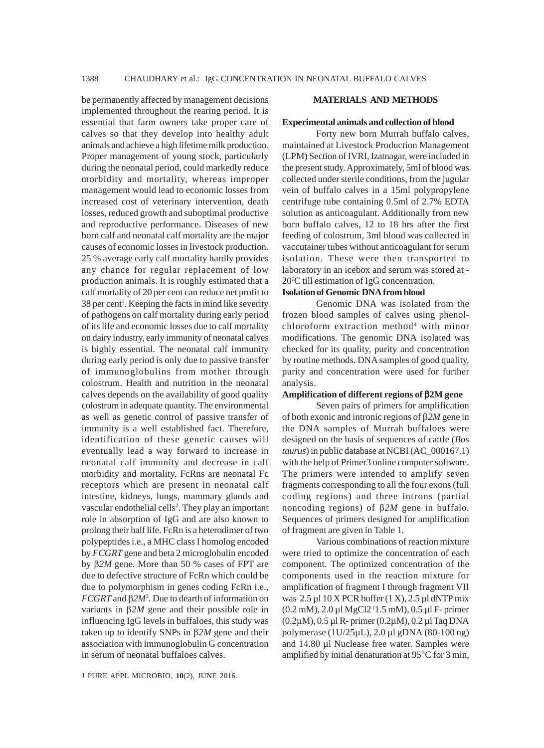be permanently affected by management decisions implemented throughout the rearing period. It is essential that farm owners take proper care of calves so that they develop into healthy adult animals and achieve a high lifetime milk production. Proper management of young stock, particularly during the neonatal period, could markedly reduce morbidity and mortality, whereas improper management would lead to economic losses from increased cost of veterinary intervention, death losses, reduced growth and suboptimal productive and reproductive performance. Diseases of new born calf and neonatal calf mortality are the major causes of economic losses in livestock production. 25 % average early calf mortality hardly provides any chance for regular replacement of low production animals. It is roughly estimated that a calf mortality of 20 per cent can reduce net profit to 38 per cent<sup>1</sup>. Keeping the facts in mind like severity of pathogens on calf mortality during early period of its life and economic losses due to calf mortality on dairy industry, early immunity of neonatal calves is highly essential. The neonatal calf immunity during early period is only due to passive transfer of immunoglobulins from mother through colostrum. Health and nutrition in the neonatal calves depends on the availability of good quality colostrum in adequate quantity. The environmental as well as genetic control of passive transfer of immunity is a well established fact. Therefore, identification of these genetic causes will eventually lead a way forward to increase in neonatal calf immunity and decrease in calf morbidity and mortality. FcRns are neonatal Fc receptors which are present in neonatal calf intestine, kidneys, lungs, mammary glands and vascular endothelial cells<sup>2</sup>. They play an important role in absorption of IgG and are also known to prolong their half life. FcRn is a heterodimer of two polypeptides i.e., a MHC class I homolog encoded by *FCGRT* gene and beta 2 microglobulin encoded by β*2M* gene. More than 50 % cases of FPT are due to defective structure of FcRn which could be due to polymorphism in genes coding FcRn i.e., *FCGRT* and β*2M*<sup>3</sup> . Due to dearth of information on variants in β*2M* gene and their possible role in influencing IgG levels in buffaloes, this study was taken up to identify SNPs in β*2M* gene and their association with immunoglobulin G concentration in serum of neonatal buffaloes calves.

## **MATERIALS AND METHODS**

#### **Experimental animals and collection of blood**

Forty new born Murrah buffalo calves, maintained at Livestock Production Management (LPM) Section of IVRI, Izatnagar, were included in the present study. Approximately, 5ml of blood was collected under sterile conditions, from the jugular vein of buffalo calves in a 15ml polypropylene centrifuge tube containing 0.5ml of 2.7% EDTA solution as anticoagulant. Additionally from new born buffalo calves, 12 to 18 hrs after the first feeding of colostrum, 3ml blood was collected in vaccutainer tubes without anticoagulant for serum isolation. These were then transported to laboratory in an icebox and serum was stored at - 200 C till estimation of IgG concentration.

# **Isolation of Genomic DNA from blood**

Genomic DNA was isolated from the frozen blood samples of calves using phenolchloroform extraction method<sup>4</sup> with minor modifications. The genomic DNA isolated was checked for its quality, purity and concentration by routine methods. DNA samples of good quality, purity and concentration were used for further analysis.

# **Amplification of different regions of** β**2M gene**

Seven pairs of primers for amplification of both exonic and intronic regions of β*2M* gene in the DNA samples of Murrah buffaloes were designed on the basis of sequences of cattle (*Bos taurus*) in public database at NCBI (AC\_000167.1) with the help of Primer3 online computer software. The primers were intended to amplify seven fragments corresponding to all the four exons (full coding regions) and three introns (partial noncoding regions) of β*2M* gene in buffalo. Sequences of primers designed for amplification of fragment are given in Table 1.

Various combinations of reaction mixture were tried to optimize the concentration of each component. The optimized concentration of the components used in the reaction mixture for amplification of fragment I through fragment VII was  $2.5 \mu$ 10 X PCR buffer (1 X),  $2.5 \mu$ l dNTP mix (0.2 mM), 2.0 µl MgCl2 ( 1.5 mM), 0.5 µl F- primer (0.2µM), 0.5 µl R- primer (0.2µM), 0.2 µl Taq DNA polymerase (1U/25µL), 2.0 µl gDNA (80-100 ng) and 14.80 µl Nuclease free water. Samples were amplified by initial denaturation at 95°C for 3 min,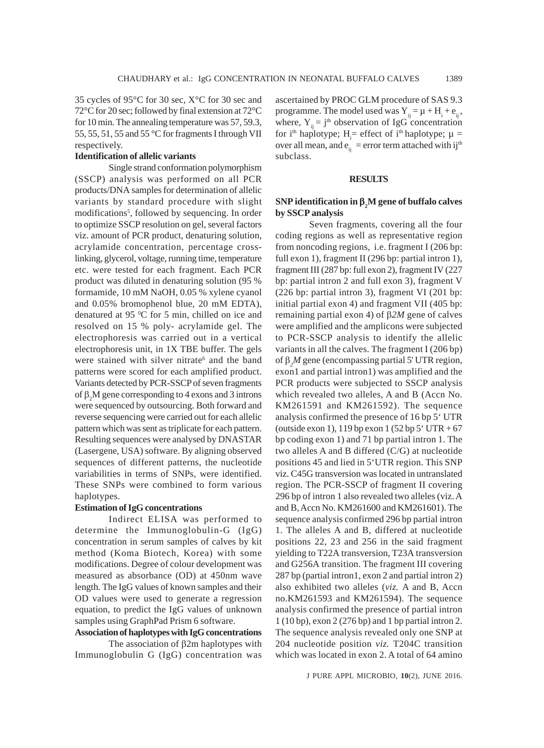35 cycles of 95°C for 30 sec, X°C for 30 sec and 72°C for 20 sec; followed by final extension at 72°C for 10 min. The annealing temperature was 57, 59.3, 55, 55, 51, 55 and 55 °C for fragments I through VII respectively.

## **Identification of allelic variants**

Single strand conformation polymorphism (SSCP) analysis was performed on all PCR products/DNA samples for determination of allelic variants by standard procedure with slight modifications<sup>5</sup>, followed by sequencing. In order to optimize SSCP resolution on gel, several factors viz. amount of PCR product, denaturing solution, acrylamide concentration, percentage crosslinking, glycerol, voltage, running time, temperature etc. were tested for each fragment. Each PCR product was diluted in denaturing solution (95 % formamide, 10 mM NaOH, 0.05 % xylene cyanol and 0.05% bromophenol blue, 20 mM EDTA), denatured at 95  $\mathrm{^0C}$  for 5 min, chilled on ice and resolved on 15 % poly- acrylamide gel. The electrophoresis was carried out in a vertical electrophoresis unit, in 1X TBE buffer. The gels were stained with silver nitrate<sup>6</sup> and the band patterns were scored for each amplified product. Variants detected by PCR-SSCP of seven fragments of  $\beta_2 M$  gene corresponding to 4 exons and 3 introns were sequenced by outsourcing. Both forward and reverse sequencing were carried out for each allelic pattern which was sent as triplicate for each pattern. Resulting sequences were analysed by DNASTAR (Lasergene, USA) software. By aligning observed sequences of different patterns, the nucleotide variabilities in terms of SNPs, were identified. These SNPs were combined to form various haplotypes.

# **Estimation of IgG concentrations**

Indirect ELISA was performed to determine the Immunoglobulin-G (IgG) concentration in serum samples of calves by kit method (Koma Biotech, Korea) with some modifications. Degree of colour development was measured as absorbance (OD) at 450nm wave length. The IgG values of known samples and their OD values were used to generate a regression equation, to predict the IgG values of unknown samples using GraphPad Prism 6 software.

# **Association of haplotypes with IgG concentrations**

The association of β2m haplotypes with Immunoglobulin G (IgG) concentration was ascertained by PROC GLM procedure of SAS 9.3 programme. The model used was  $Y_{ij} = \mu + H_i + e_{ij}$ , where,  $Y_{ii} = j^{th}$  observation of IgG concentration for i<sup>th</sup> haplotype; H<sub>i</sub> = effect of i<sup>th</sup> haplotype;  $\mu$  = over all mean, and  $e_{ii}$  = error term attached with ij<sup>th</sup> subclass.

## **RESULTS**

## **SNP identification in** β**<sup>2</sup> M gene of buffalo calves by SSCP analysis**

Seven fragments, covering all the four coding regions as well as representative region from noncoding regions, i.e. fragment I (206 bp: full exon 1), fragment II (296 bp: partial intron 1), fragment III (287 bp: full exon 2), fragment IV (227 bp: partial intron 2 and full exon 3), fragment V (226 bp: partial intron 3), fragment VI (201 bp: initial partial exon 4) and fragment VII (405 bp: remaining partial exon 4) of β*2M* gene of calves were amplified and the amplicons were subjected to PCR-SSCP analysis to identify the allelic variants in all the calves. The fragment I (206 bp) of β*<sup>2</sup> M* gene (encompassing partial 5' UTR region, exon1 and partial intron1) was amplified and the PCR products were subjected to SSCP analysis which revealed two alleles, A and B (Accn No. KM261591 and KM261592). The sequence analysis confirmed the presence of 16 bp 5' UTR (outside exon 1), 119 bp exon 1 (52 bp 5' UTR +  $67$ bp coding exon 1) and 71 bp partial intron 1. The two alleles A and B differed (C/G) at nucleotide positions 45 and lied in 5'UTR region. This SNP viz. C45G transversion was located in untranslated region. The PCR-SSCP of fragment II covering 296 bp of intron 1 also revealed two alleles (viz. A and B, Accn No. KM261600 and KM261601). The sequence analysis confirmed 296 bp partial intron 1. The alleles A and B, differed at nucleotide positions 22, 23 and 256 in the said fragment yielding to T22A transversion, T23A transversion and G256A transition. The fragment III covering 287 bp (partial intron1, exon 2 and partial intron 2) also exhibited two alleles (*viz.* A and B, Accn no.KM261593 and KM261594). The sequence analysis confirmed the presence of partial intron 1 (10 bp), exon 2 (276 bp) and 1 bp partial intron 2. The sequence analysis revealed only one SNP at 204 nucleotide position *viz.* T204C transition which was located in exon 2. A total of 64 amino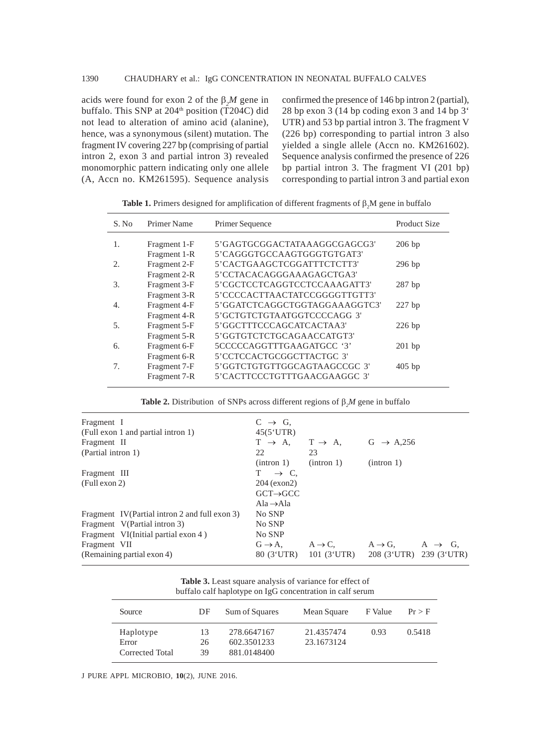acids were found for exon 2 of the  $\beta_2 M$  gene in buffalo. This SNP at  $204<sup>th</sup>$  position (T204C) did not lead to alteration of amino acid (alanine), hence, was a synonymous (silent) mutation. The fragment IV covering 227 bp (comprising of partial intron 2, exon 3 and partial intron 3) revealed monomorphic pattern indicating only one allele (A, Accn no. KM261595). Sequence analysis confirmed the presence of 146 bp intron 2 (partial), 28 bp exon 3 (14 bp coding exon 3 and 14 bp 3' UTR) and 53 bp partial intron 3. The fragment V (226 bp) corresponding to partial intron 3 also yielded a single allele (Accn no. KM261602). Sequence analysis confirmed the presence of 226 bp partial intron 3. The fragment VI (201 bp) corresponding to partial intron 3 and partial exon

| S. No | Primer Name  | Primer Sequence               | Product Size |
|-------|--------------|-------------------------------|--------------|
| 1.    | Fragment 1-F | 5'GAGTGCGGACTATAAAGGCGAGCG3'  | $206$ bp     |
|       | Fragment 1-R | 5'CAGGGTGCCAAGTGGGTGTGAT3'    |              |
| 2.    | Fragment 2-F | 5'CACTGAAGCTCGGATTTCTCTT3'    | $296$ bp     |
|       | Fragment 2-R | 5'CCTACACAGGGAAAGAGCTGA3'     |              |
| 3.    | Fragment 3-F | 5'CGCTCCTCAGGTCCTCCAAAGATT3'  | $287$ bp     |
|       | Fragment 3-R | 5'CCCCACTTAACTATCCGGGGTTGTT3' |              |
| 4.    | Fragment 4-F | 5'GGATCTCAGGCTGGTAGGAAAGGTC3' | $227$ bp     |
|       | Fragment 4-R | 5'GCTGTCTGTAATGGTCCCCAGG 3'   |              |
| 5.    | Fragment 5-F | 5'GGCTTTCCCAGCATCACTAA3'      | $226$ bp     |
|       | Fragment 5-R | 5'GGTGTCTCTGCAGAACCATGT3'     |              |
| б.    | Fragment 6-F | 5CCCCCAGGTTTGAAGATGCC '3'     | $201$ bp     |
|       | Fragment 6-R | 5'CCTCCACTGCGGCTTACTGC 3'     |              |
| 7.    | Fragment 7-F | 5'GGTCTGTGTTGGCAGTAAGCCGC 3'  | $405$ bp     |
|       | Fragment 7-R | 5'CACTTCCCTGTTTGAACGAAGGC 3'  |              |

**Table 1.** Primers designed for amplification of different fragments of  $\beta_2 M$  gene in buffalo

**Table 2.** Distribution of SNPs across different regions of  $\beta_2 M$  gene in buffalo

| Fragment I                                    | $C \rightarrow G$ ,                     |                                                                 |                                         |  |
|-----------------------------------------------|-----------------------------------------|-----------------------------------------------------------------|-----------------------------------------|--|
| (Full exon 1 and partial intron 1)            | 45(5'UTR)                               |                                                                 |                                         |  |
| Fragment II                                   |                                         | $T \rightarrow A$ , $T \rightarrow A$ , $G \rightarrow A$ , 256 |                                         |  |
| (Partial intron 1)                            | 22                                      | 23                                                              |                                         |  |
|                                               | (intron 1)                              | (intron 1)                                                      | (intron 1)                              |  |
| Fragment III                                  | $T \rightarrow C$ .                     |                                                                 |                                         |  |
| (Full exon 2)                                 | $204$ (exon2)                           |                                                                 |                                         |  |
|                                               | $GCT \rightarrow GCC$                   |                                                                 |                                         |  |
|                                               | Ala $\rightarrow$ Ala                   |                                                                 |                                         |  |
| Fragment IV(Partial intron 2 and full exon 3) | No SNP                                  |                                                                 |                                         |  |
| Fragment V(Partial intron 3)                  | No SNP                                  |                                                                 |                                         |  |
| Fragment VI(Initial partial exon 4)           | No SNP                                  |                                                                 |                                         |  |
| Fragment VII                                  | $G \rightarrow A$ , $A \rightarrow C$ , |                                                                 | $A \rightarrow G$ , $A \rightarrow G$ , |  |
| (Remaining partial exon 4)                    | 80 (3'UTR)                              | $101 \; (3'UTR)$                                                | 208 (3'UTR) 239 (3'UTR)                 |  |
|                                               |                                         |                                                                 |                                         |  |

| <b>Table 3.</b> Least square analysis of variance for effect of |  |
|-----------------------------------------------------------------|--|
| buffalo calf haplotype on IgG concentration in calf serum       |  |

| Source          | DF | Sum of Squares | Mean Square | F Value | $Pr$ > F |
|-----------------|----|----------------|-------------|---------|----------|
| Haplotype       | 13 | 278.6647167    | 21.4357474  | 0.93    | 0.5418   |
| Error           | 26 | 602.3501233    | 23.1673124  |         |          |
| Corrected Total | 39 | 881.0148400    |             |         |          |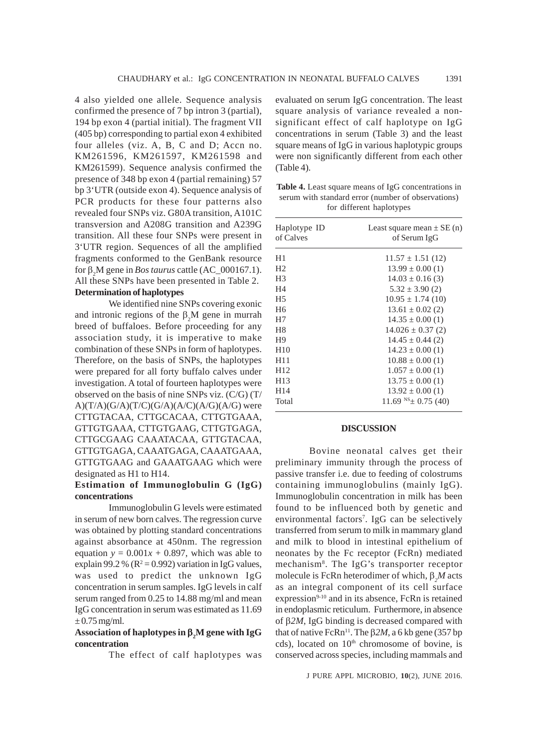4 also yielded one allele. Sequence analysis confirmed the presence of 7 bp intron 3 (partial), 194 bp exon 4 (partial initial). The fragment VII (405 bp) corresponding to partial exon 4 exhibited four alleles (viz. A, B, C and D; Accn no. KM261596, KM261597, KM261598 and KM261599). Sequence analysis confirmed the presence of 348 bp exon 4 (partial remaining) 57 bp 3'UTR (outside exon 4). Sequence analysis of PCR products for these four patterns also revealed four SNPs viz. G80A transition, A101C transversion and A208G transition and A239G transition. All these four SNPs were present in 3'UTR region. Sequences of all the amplified fragments conformed to the GenBank resource for  $\beta_2 M$  gene in *Bos taurus* cattle (AC\_000167.1). All these SNPs have been presented in Table 2. **Determination of haplotypes**

We identified nine SNPs covering exonic and intronic regions of the  $\beta_2 M$  gene in murrah breed of buffaloes. Before proceeding for any association study, it is imperative to make combination of these SNPs in form of haplotypes. Therefore, on the basis of SNPs, the haplotypes were prepared for all forty buffalo calves under investigation. A total of fourteen haplotypes were observed on the basis of nine SNPs viz. (C/G) (T/  $A)(T/A)(G/A)(T/C)(G/A)(A/C)(A/G)(A/G)$  were CTTGTACAA, CTTGCACAA, CTTGTGAAA, GTTGTGAAA, CTTGTGAAG, CTTGTGAGA, CTTGCGAAG CAAATACAA, GTTGTACAA, GTTGTGAGA, CAAATGAGA, CAAATGAAA, GTTGTGAAG and GAAATGAAG which were designated as H1 to H14.

## **Estimation of Immunoglobulin G (IgG) concentrations**

Immunoglobulin G levels were estimated in serum of new born calves. The regression curve was obtained by plotting standard concentrations against absorbance at 450nm. The regression equation  $y = 0.001x + 0.897$ , which was able to explain 99.2 % ( $R^2 = 0.992$ ) variation in IgG values, was used to predict the unknown IgG concentration in serum samples. IgG levels in calf serum ranged from 0.25 to 14.88 mg/ml and mean IgG concentration in serum was estimated as 11.69  $\pm$  0.75 mg/ml.

## **Association of haplotypes in** β**<sup>2</sup> M gene with IgG concentration**

The effect of calf haplotypes was

evaluated on serum IgG concentration. The least square analysis of variance revealed a nonsignificant effect of calf haplotype on IgG concentrations in serum (Table 3) and the least square means of IgG in various haplotypic groups were non significantly different from each other (Table 4).

**Table 4.** Least square means of IgG concentrations in serum with standard error (number of observations) for different haplotypes

| Haplotype ID    | Least square mean $\pm$ SE (n) |  |  |
|-----------------|--------------------------------|--|--|
| of Calves       | of Serum IgG                   |  |  |
| H1              | $11.57 \pm 1.51$ (12)          |  |  |
| H <sub>2</sub>  | $13.99 \pm 0.00(1)$            |  |  |
| H <sub>3</sub>  | $14.03 \pm 0.16$ (3)           |  |  |
| H4              | $5.32 \pm 3.90$ (2)            |  |  |
| H <sub>5</sub>  | $10.95 \pm 1.74$ (10)          |  |  |
| H <sub>6</sub>  | $13.61 \pm 0.02$ (2)           |  |  |
| H7              | $14.35 \pm 0.00(1)$            |  |  |
| H8              | $14.026 \pm 0.37$ (2)          |  |  |
| H <sub>9</sub>  | $14.45 \pm 0.44$ (2)           |  |  |
| H10             | $14.23 \pm 0.00$ (1)           |  |  |
| H <sub>11</sub> | $10.88 \pm 0.00$ (1)           |  |  |
| H <sub>12</sub> | $1.057 \pm 0.00$ (1)           |  |  |
| H <sub>13</sub> | $13.75 \pm 0.00$ (1)           |  |  |
| H <sub>14</sub> | $13.92 \pm 0.00$ (1)           |  |  |
| Total           | $11.69$ NS $\pm$ 0.75 (40)     |  |  |
|                 |                                |  |  |

#### **DISCUSSION**

Bovine neonatal calves get their preliminary immunity through the process of passive transfer i.e. due to feeding of colostrums containing immunoglobulins (mainly IgG). Immunoglobulin concentration in milk has been found to be influenced both by genetic and environmental factors7 . IgG can be selectively transferred from serum to milk in mammary gland and milk to blood in intestinal epithelium of neonates by the Fc receptor (FcRn) mediated mechanism8 . The IgG's transporter receptor molecule is FcRn heterodimer of which, β*<sup>2</sup> M* acts as an integral component of its cell surface expression<sup>9-10</sup> and in its absence, FcRn is retained in endoplasmic reticulum. Furthermore, in absence of β*2M*, IgG binding is decreased compared with that of native FcRn<sup>11</sup>. The  $β2M$ , a 6 kb gene (357 bp) cds), located on 10<sup>th</sup> chromosome of bovine, is conserved across species, including mammals and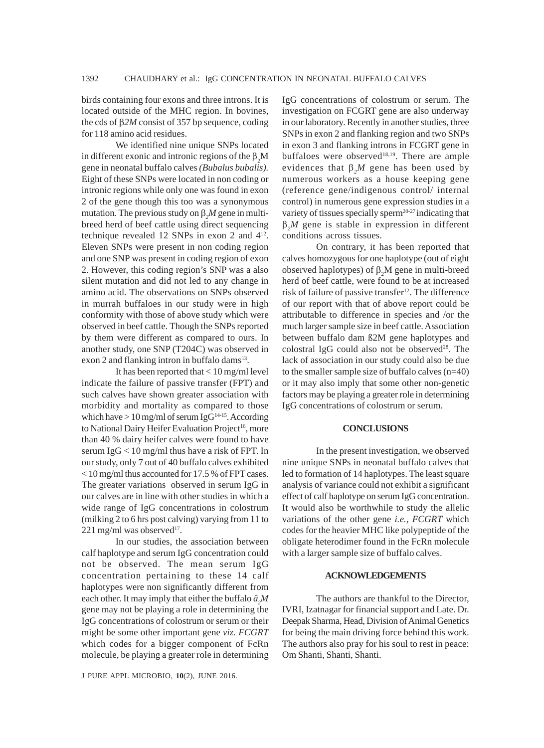birds containing four exons and three introns. It is located outside of the MHC region. In bovines, the cds of β*2M* consist of 357 bp sequence, coding for 118 amino acid residues.

We identified nine unique SNPs located in different exonic and intronic regions of the  $\beta_2 M$ gene in neonatal buffalo calves *(Bubalus bubalis).* Eight of these SNPs were located in non coding or intronic regions while only one was found in exon 2 of the gene though this too was a synonymous mutation. The previous study on β*<sup>2</sup> M* gene in multibreed herd of beef cattle using direct sequencing technique revealed 12 SNPs in exon 2 and 412. Eleven SNPs were present in non coding region and one SNP was present in coding region of exon 2. However, this coding region's SNP was a also silent mutation and did not led to any change in amino acid. The observations on SNPs observed in murrah buffaloes in our study were in high conformity with those of above study which were observed in beef cattle. Though the SNPs reported by them were different as compared to ours. In another study, one SNP (T204C) was observed in exon 2 and flanking intron in buffalo dams $13$ .

It has been reported that < 10 mg/ml level indicate the failure of passive transfer (FPT) and such calves have shown greater association with morbidity and mortality as compared to those which have  $> 10$  mg/ml of serum IgG<sup>14-15</sup>. According to National Dairy Heifer Evaluation Project<sup>16</sup>, more than 40 % dairy heifer calves were found to have serum IgG < 10 mg/ml thus have a risk of FPT. In our study, only 7 out of 40 buffalo calves exhibited < 10 mg/ml thus accounted for 17.5 % of FPT cases. The greater variations observed in serum IgG in our calves are in line with other studies in which a wide range of IgG concentrations in colostrum (milking 2 to 6 hrs post calving) varying from 11 to  $221$  mg/ml was observed<sup>17</sup>.

In our studies, the association between calf haplotype and serum IgG concentration could not be observed. The mean serum IgG concentration pertaining to these 14 calf haplotypes were non significantly different from each other. It may imply that either the buffalo  $\hat{a}_2M$ gene may not be playing a role in determining the IgG concentrations of colostrum or serum or their might be some other important gene *viz. FCGRT* which codes for a bigger component of FcRn molecule, be playing a greater role in determining

J PURE APPL MICROBIO*,* **10**(2), JUNE 2016.

IgG concentrations of colostrum or serum. The investigation on FCGRT gene are also underway in our laboratory. Recently in another studies, three SNPs in exon 2 and flanking region and two SNPs in exon 3 and flanking introns in FCGRT gene in buffaloes were observed<sup>18,19</sup>. There are ample evidences that  $\beta_2 M$  gene has been used by numerous workers as a house keeping gene (reference gene/indigenous control/ internal control) in numerous gene expression studies in a variety of tissues specially sperm<sup>20-27</sup> indicating that  $\beta_2 M$  gene is stable in expression in different conditions across tissues.

On contrary, it has been reported that calves homozygous for one haplotype (out of eight observed haplotypes) of  $\beta_2 M$  gene in multi-breed herd of beef cattle, were found to be at increased risk of failure of passive transfer<sup>12</sup>. The difference of our report with that of above report could be attributable to difference in species and /or the much larger sample size in beef cattle. Association between buffalo dam ß2M gene haplotypes and colostral IgG could also not be observed $28$ . The lack of association in our study could also be due to the smaller sample size of buffalo calves (n=40) or it may also imply that some other non-genetic factors may be playing a greater role in determining IgG concentrations of colostrum or serum.

## **CONCLUSIONS**

In the present investigation, we observed nine unique SNPs in neonatal buffalo calves that led to formation of 14 haplotypes. The least square analysis of variance could not exhibit a significant effect of calf haplotype on serum IgG concentration. It would also be worthwhile to study the allelic variations of the other gene *i.e., FCGRT* which codes for the heavier MHC like polypeptide of the obligate heterodimer found in the FcRn molecule with a larger sample size of buffalo calves.

#### **ACKNOWLEDGEMENTS**

The authors are thankful to the Director, IVRI, Izatnagar for financial support and Late. Dr. Deepak Sharma, Head, Division of Animal Genetics for being the main driving force behind this work. The authors also pray for his soul to rest in peace: Om Shanti, Shanti, Shanti.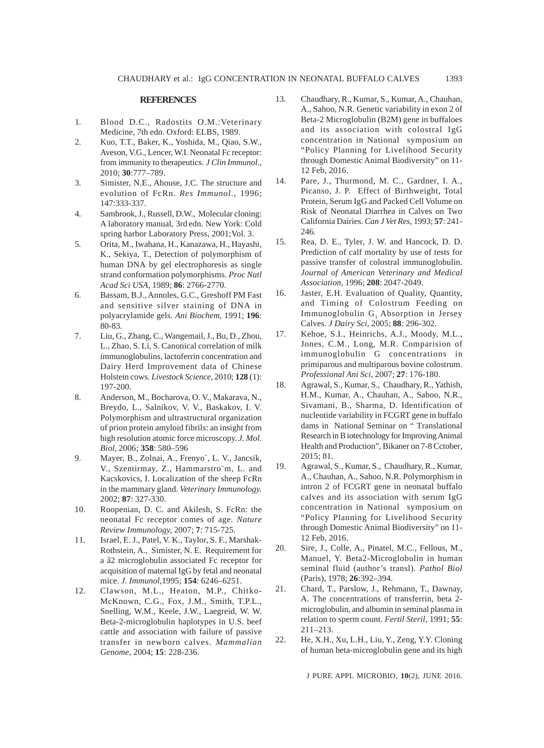#### **REFERENCES**

- 1. Blood D.C., Radostits O.M.:Veterinary Medicine, 7th edn. Oxford: ELBS, 1989.
- 2. Kuo, T.T., Baker, K., Yoshida, M., Qiao, S.W., Aveson, V.G., Lencer, W.I. Neonatal Fc receptor: from immunity to therapeutics. *J Clin Immunol*.*,* 2010; **30**:777–789.
- 3. Simister, N.E., Ahouse, J.C. The structure and evolution of FcRn. *Res Immunol*., 1996; 147:333-337.
- 4. Sambrook, J., Russell, D.W., Molecular cloning: A laboratory manual, 3rd edn. New York: Cold spring harbor Laboratory Press, 2001;Vol. 3.
- 5. Orita, M., Iwahana, H., Kanazawa, H., Hayashi, K., Sekiya, T., Detection of polymorphism of human DNA by gel electrophoresis as single strand conformation polymorphisms. *Proc Natl Acad Sci USA*, 1989; **86**: 2766-2770.
- 6. Bassam, B.J., Annoles, G.C., Greshoff PM Fast and sensitive silver staining of DNA in polyacrylamide gels. *Ani Biochem,* 1991; **196**: 80-83.
- 7. Liu, G., Zhang, C., Wangemail, J., Bu, D., Zhou, L., Zhao, S. Li, S. Canonical correlation of milk immunoglobulins, lactoferrin concentration and Dairy Herd Improvement data of Chinese Holstein cows. *Livestock Science,* 2010; **128** (1): 197-200.
- 8. Anderson, M., Bocharova, O. V., Makarava, N., Breydo, L., Salnikov, V. V., Baskakov, I. V. Polymorphism and ultrastructural organization of prion protein amyloid fibrils: an insight from high resolution atomic force microscopy. *J. Mol. Biol,* 2006*;* **358**: 580–596
- 9. Mayer, B., Zolnai, A., Frenyo´, L. V., Jancsik, V., Szentirmay, Z., Hammarstro¨m, L. and Kacskovics, I. Localization of the sheep FcRn in the mammary gland. *Veterinary Immunology.* 2002; **87**: 327-330.
- 10. Roopenian, D. C. and Akilesh, S. FcRn: the neonatal Fc receptor comes of age. *Nature Review Immunology,* 2007; **7**: 715-725.
- 11. Israel, E. J., Patel, V. K., Taylor, S. F., Marshak-Rothstein, A., Simister, N. E. Requirement for a â2 microglobulin associated Fc receptor for acquisition of maternal IgG by fetal and neonatal mice. *J. Immunol*,1995; **154**: 6246–6251.
- 12. Clawson, M.L., Heaton, M.P., Chitko-McKnown, C.G., Fox, J.M., Smith, T.P.L., Snelling, W.M., Keele, J.W., Laegreid, W. W. Beta-2-microglobulin haplotypes in U.S. beef cattle and association with failure of passive transfer in newborn calves. *Mammalian Genome*, 2004; **15**: 228-236.
- 13. Chaudhary, R., Kumar, S., Kumar, A., Chauhan, A., Sahoo, N.R. Genetic variability in exon 2 of Beta-2 Microglobulin (B2M) gene in buffaloes and its association with colostral IgG concentration in National symposium on "Policy Planning for Livelihood Security through Domestic Animal Biodiversity" on 11- 12 Feb, 2016.
- 14. Pare, J., Thurmond, M. C., Gardner, I. A., Picanso, J. P. Effect of Birthweight, Total Protein, Serum IgG and Packed Cell Volume on Risk of Neonatal Diarrhea in Calves on Two California Dairies. *Can J Vet Res,* 1993; **57**: 241- 246.
- 15. Rea, D. E., Tyler, J. W. and Hancock, D. D. Prediction of calf mortality by use of tests for passive transfer of colostral immunoglobulin. *Journal of American Veterinary and Medical Association,* 1996; **208**: 2047-2049.
- 16. Jaster, E.H. Evaluation of Quality, Quantity, and Timing of Colostrum Feeding on Immunoglobulin  $G_i$  Absorption in Jersey Calves. *J Dairy Sci*, 2005; **88**: 296-302.
- 17. Kehoe, S.I., Heinrichs, A.J., Moody, M.L., Jones, C.M., Long, M.R. Comparision of immunoglobulin G concentrations in primiparous and multiparous bovine colostrum. *Professional Ani Sci,* 2007; **27**: 176-180.
- 18. Agrawal, S., Kumar, S., Chaudhary, R., Yathish, H.M., Kumar, A., Chauhan, A., Sahoo, N.R., Sivamani, B., Sharma, D. Identification of nucleotide variability in FCGRT gene in buffalo dams in National Seminar on " Translational Research in B iotechnology for Improving Animal Health and Production", Bikaner on 7-8 Cctober, 2015; 81.
- 19. Agrawal, S., Kumar, S., Chaudhary, R., Kumar, A., Chauhan, A., Sahoo, N.R. Polymorphism in intron 2 of FCGRT gene in neonatal buffalo calves and its association with serum IgG concentration in National symposium on "Policy Planning for Livelihood Security through Domestic Animal Biodiversity" on 11- 12 Feb, 2016.
- 20. Sire, J., Colle, A., Pinatel, M.C., Fellous, M., Manuel, Y. Beta2-Microglobulin in human seminal fluid (author's transl). *Pathol Biol* (Paris), 1978; **26**:392–394.
- 21. Chard, T., Parslow, J., Rehmann, T., Dawnay, A. The concentrations of transferrin, beta 2 microglobulin, and albumin in seminal plasma in relation to sperm count. *Fertil Steril*, 1991; **55**: 211–213.
- 22. He, X.H., Xu, L.H., Liu, Y., Zeng, Y.Y. Cloning of human beta-microglobulin gene and its high